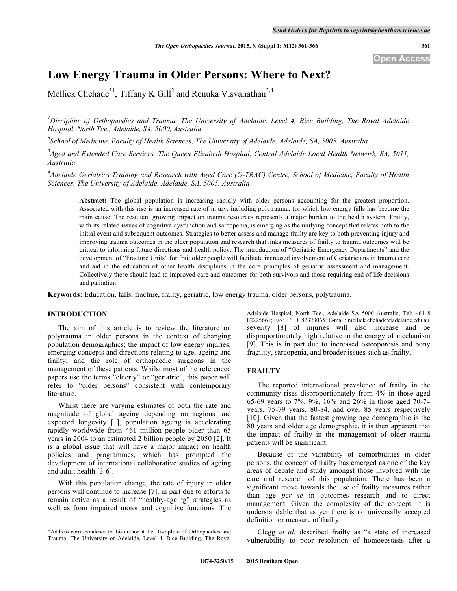**Open Access**

# **Low Energy Trauma in Older Persons: Where to Next?**

Mellick Chehade\*<sup>1</sup>, Tiffany K Gill<sup>2</sup> and Renuka Visvanathan<sup>3,4</sup>

*1 Discipline of Orthopaedics and Trauma, The University of Adelaide, Level 4, Bice Building, The Royal Adelaide Hospital, North Tce., Adelaide, SA, 5000, Australia*

*2 School of Medicine, Faculty of Health Sciences, The University of Adelaide, Adelaide, SA, 5005, Australia*

 $3A$ ged and Extended Care Services, The Queen Elizabeth Hospital, Central Adelaide Local Health Network, SA, 5011, *Australia*

<sup>4</sup>Adelaide Geriatrics Training and Research with Aged Care (G-TRAC) Centre, School of Medicine, Faculty of Health *Sciences, The University of Adelaide, Adelaide, SA, 5005, Australia*

**Abstract:** The global population is increasing rapidly with older persons accounting for the greatest proportion. Associated with this rise is an increased rate of injury, including polytrauma, for which low energy falls has become the main cause. The resultant growing impact on trauma resources represents a major burden to the health system. Frailty, with its related issues of cognitive dysfunction and sarcopenia, is emerging as the unifying concept that relates both to the initial event and subsequent outcomes. Strategies to better assess and manage frailty are key to both preventing injury and improving trauma outcomes in the older population and research that links measures of frailty to trauma outcomes will be critical to informing future directions and health policy. The introduction of "Geriatric Emergency Departments" and the development of "Fracture Units" for frail older people will facilitate increased involvement of Geriatricians in trauma care and aid in the education of other health disciplines in the core principles of geriatric assessment and management. Collectively these should lead to improved care and outcomes for both survivors and those requiring end of life decisions and palliation.

**Keywords:** Education, falls, fracture, frailty, geriatric, low energy trauma, older persons, polytrauma.

# **INTRODUCTION**

The aim of this article is to review the literature on polytrauma in older persons in the context of changing population demographics; the impact of low energy injuries; emerging concepts and directions relating to age, ageing and frailty; and the role of orthopaedic surgeons in the management of these patients. Whilst most of the referenced papers use the terms "elderly" or "geriatric", this paper will refer to "older persons" consistent with contemporary literature.

Whilst there are varying estimates of both the rate and magnitude of global ageing depending on regions and expected longevity [1], population ageing is accelerating rapidly worldwide from 461 million people older than 65 years in 2004 to an estimated 2 billion people by 2050 [2]. It is a global issue that will have a major impact on health policies and programmes, which has prompted the development of international collaborative studies of ageing and adult health [3-6].

With this population change, the rate of injury in older persons will continue to increase [7], in part due to efforts to remain active as a result of "healthy-ageing" strategies as well as from impaired motor and cognitive functions. The

Adelaide Hospital, North Tce., Adelaide SA 5000 Australia; Tel: +61 8 82225661; Fax: +61 8 82323065; E-mail: mellick.chehade@adelaide.edu.au severity [8] of injuries will also increase and be disproportionately high relative to the energy of mechanism [9]. This is in part due to increased osteoporosis and bony fragility, sarcopenia, and broader issues such as frailty.

# **FRAILTY**

The reported international prevalence of frailty in the community rises disproportionately from 4% in those aged 65-69 years to 7%, 9%, 16% and 26% in those aged 70-74 years, 75-79 years, 80-84, and over 85 years respectively [10]. Given that the fastest growing age demographic is the 80 years and older age demographic, it is then apparent that the impact of frailty in the management of older trauma patients will be significant.

Because of the variability of comorbidities in older persons, the concept of frailty has emerged as one of the key areas of debate and study amongst those involved with the care and research of this population. There has been a significant move towards the use of frailty measures rather than age *per se* in outcomes research and to direct management. Given the complexity of the concept, it is understandable that as yet there is no universally accepted definition or measure of frailty.

Clegg *et al*. described frailty as "a state of increased vulnerability to poor resolution of homoeostasis after a

<sup>\*</sup>Address correspondence to this author at the Discipline of Orthopaedics and Trauma, The University of Adelaide, Level 4, Bice Building, The Royal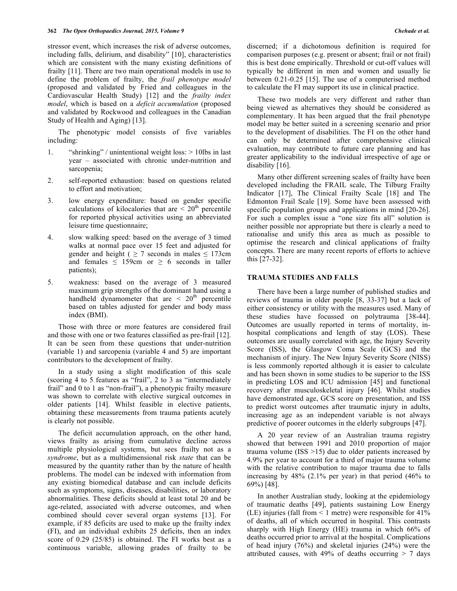stressor event, which increases the risk of adverse outcomes, including falls, delirium, and disability" [10], characteristics which are consistent with the many existing definitions of frailty [11]. There are two main operational models in use to define the problem of frailty, the *frail phenotype model* (proposed and validated by Fried and colleagues in the Cardiovascular Health Study) [12] and the *frailty index model*, which is based on a *deficit accumulation* (proposed and validated by Rockwood and colleagues in the Canadian Study of Health and Aging) [13].

The phenotypic model consists of five variables including:

- 1. "shrinking" / unintentional weight loss: > 10lbs in last year – associated with chronic under-nutrition and sarcopenia;
- 2. self-reported exhaustion: based on questions related to effort and motivation;
- 3. low energy expenditure: based on gender specific calculations of kilocalories that are  $\leq 20<sup>th</sup>$  percentile for reported physical activities using an abbreviated leisure time questionnaire;
- 4. slow walking speed: based on the average of 3 timed walks at normal pace over 15 feet and adjusted for gender and height (  $\geq$  7 seconds in males  $\leq$  173cm and females  $\leq$  159cm or  $\geq$  6 seconds in taller patients);
- 5. weakness: based on the average of 3 measured maximum grip strengths of the dominant hand using a handheld dynamometer that are  $\langle 20^{th}$  percentile based on tables adjusted for gender and body mass index (BMI).

Those with three or more features are considered frail and those with one or two features classified as pre-frail [12]. It can be seen from these questions that under-nutrition (variable 1) and sarcopenia (variable 4 and 5) are important contributors to the development of frailty.

In a study using a slight modification of this scale (scoring 4 to 5 features as "frail", 2 to 3 as "intermediately frail" and 0 to 1 as "non-frail"), a phenotypic frailty measure was shown to correlate with elective surgical outcomes in older patients [14]. Whilst feasible in elective patients, obtaining these measurements from trauma patients acutely is clearly not possible.

The deficit accumulation approach, on the other hand, views frailty as arising from cumulative decline across multiple physiological systems, but sees frailty not as a *syndrome*, but as a multidimensional risk *state* that can be measured by the quantity rather than by the nature of health problems. The model can be indexed with information from any existing biomedical database and can include deficits such as symptoms, signs, diseases, disabilities, or laboratory abnormalities. These deficits should at least total 20 and be age-related, associated with adverse outcomes, and when combined should cover several organ systems [13]. For example, if 85 deficits are used to make up the frailty index (FI), and an individual exhibits 25 deficits, then an index score of 0.29 (25/85) is obtained. The FI works best as a continuous variable, allowing grades of frailty to be discerned; if a dichotomous definition is required for comparison purposes (e.g. present or absent; frail or not frail) this is best done empirically. Threshold or cut-off values will typically be different in men and women and usually lie between 0.21-0.25 [15]. The use of a computerised method to calculate the FI may support its use in clinical practice.

These two models are very different and rather than being viewed as alternatives they should be considered as complementary. It has been argued that the frail phenotype model may be better suited in a screening scenario and prior to the development of disabilities. The FI on the other hand can only be determined after comprehensive clinical evaluation, may contribute to future care planning and has greater applicability to the individual irrespective of age or disability [16].

Many other different screening scales of frailty have been developed including the FRAIL scale, The Tilburg Frailty Indicator [17], The Clinical Frailty Scale [18] and The Edmonton Frail Scale [19]. Some have been assessed with specific population groups and applications in mind [20-26]. For such a complex issue a "one size fits all" solution is neither possible nor appropriate but there is clearly a need to rationalise and unify this area as much as possible to optimise the research and clinical applications of frailty concepts. There are many recent reports of efforts to achieve this [27-32].

# **TRAUMA STUDIES AND FALLS**

There have been a large number of published studies and reviews of trauma in older people [8, 33-37] but a lack of either consistency or utility with the measures used. Many of these studies have focussed on polytrauma [38-44]. Outcomes are usually reported in terms of mortality, inhospital complications and length of stay (LOS). These outcomes are usually correlated with age, the Injury Severity Score (ISS), the Glasgow Coma Scale (GCS) and the mechanism of injury. The New Injury Severity Score (NISS) is less commonly reported although it is easier to calculate and has been shown in some studies to be superior to the ISS in predicting LOS and ICU admission [45] and functional recovery after musculoskeletal injury [46]. Whilst studies have demonstrated age, GCS score on presentation, and ISS to predict worst outcomes after traumatic injury in adults, increasing age as an independent variable is not always predictive of poorer outcomes in the elderly subgroups [47].

A 20 year review of an Australian trauma registry showed that between 1991 and 2010 proportion of major trauma volume (ISS >15) due to older patients increased by 4.9% per year to account for a third of major trauma volume with the relative contribution to major trauma due to falls increasing by 48% (2.1% per year) in that period (46% to 69%) [48].

In another Australian study, looking at the epidemiology of traumatic deaths [49], patients sustaining Low Energy (LE) injuries (fall from < 1 metre) were responsible for 41% of deaths, all of which occurred in hospital. This contrasts sharply with High Energy (HE) trauma in which 66% of deaths occurred prior to arrival at the hospital. Complications of head injury (76%) and skeletal injuries (24%) were the attributed causes, with 49% of deaths occurring  $> 7$  days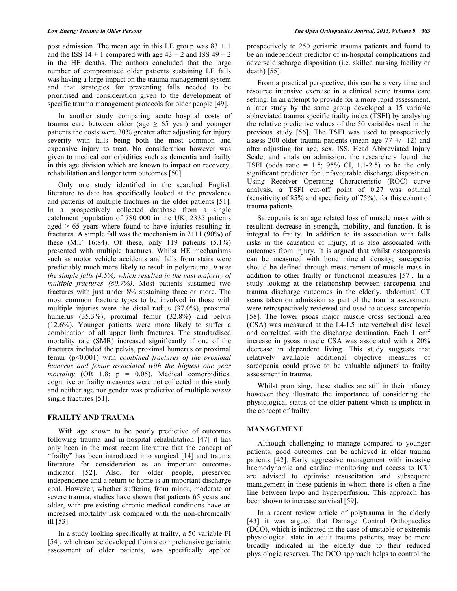post admission. The mean age in this LE group was  $83 \pm 1$ and the ISS  $14 \pm 1$  compared with age  $43 \pm 2$  and ISS  $49 \pm 2$ in the HE deaths. The authors concluded that the large number of compromised older patients sustaining LE falls was having a large impact on the trauma management system and that strategies for preventing falls needed to be prioritised and consideration given to the development of specific trauma management protocols for older people [49].

In another study comparing acute hospital costs of trauma care between older (age  $\geq$  65 year) and younger patients the costs were 30% greater after adjusting for injury severity with falls being both the most common and expensive injury to treat. No consideration however was given to medical comorbidities such as dementia and frailty in this age division which are known to impact on recovery, rehabilitation and longer term outcomes [50].

Only one study identified in the searched English literature to date has specifically looked at the prevalence and patterns of multiple fractures in the older patients [51]. In a prospectively collected database from a single catchment population of 780 000 in the UK, 2335 patients aged  $\geq 65$  years where found to have injuries resulting in fractures. A simple fall was the mechanism in 2111 (90%) of these  $(M.F 16:84)$ . Of these, only 119 patients  $(5.1\%)$ presented with multiple fractures. Whilst HE mechanisms such as motor vehicle accidents and falls from stairs were predictably much more likely to result in polytrauma, *it was the simple falls (4.5%) which resulted in the vast majority of multiple fractures (80.7%)*. Most patients sustained two fractures with just under 8% sustaining three or more. The most common fracture types to be involved in those with multiple injuries were the distal radius (37.0%), proximal humerus (35.3%), proximal femur (32.8%) and pelvis (12.6%). Younger patients were more likely to suffer a combination of all upper limb fractures. The standardised mortality rate (SMR) increased significantly if one of the fractures included the pelvis, proximal humerus or proximal femur (p<0.001) with *combined fractures of the proximal humerus and femur associated with the highest one year mortality* (OR 1.8; p = 0.05). Medical comorbidities, cognitive or frailty measures were not collected in this study and neither age nor gender was predictive of multiple *versus* single fractures [51].

#### **FRAILTY AND TRAUMA**

With age shown to be poorly predictive of outcomes following trauma and in-hospital rehabilitation [47] it has only been in the most recent literature that the concept of "frailty" has been introduced into surgical [14] and trauma literature for consideration as an important outcomes indicator [52]. Also, for older people, preserved independence and a return to home is an important discharge goal. However, whether suffering from minor, moderate or severe trauma, studies have shown that patients 65 years and older, with pre-existing chronic medical conditions have an increased mortality risk compared with the non-chronically ill [53].

In a study looking specifically at frailty, a 50 variable FI [54], which can be developed from a comprehensive geriatric assessment of older patients, was specifically applied

prospectively to 250 geriatric trauma patients and found to be an independent predictor of in-hospital complications and adverse discharge disposition (i.e. skilled nursing facility or death) [55].

From a practical perspective, this can be a very time and resource intensive exercise in a clinical acute trauma care setting. In an attempt to provide for a more rapid assessment, a later study by the same group developed a 15 variable abbreviated trauma specific frailty index (TSFI) by analysing the relative predictive values of the 50 variables used in the previous study [56]. The TSFI was used to prospectively assess 200 older trauma patients (mean age  $77 + (-12)$ ) and after adjusting for age, sex, ISS, Head Abbreviated Injury Scale, and vitals on admission, the researchers found the TSFI (odds ratio =  $1.5$ ;  $95\%$  CI,  $1.1-2.5$ ) to be the only significant predictor for unfavourable discharge disposition. Using Receiver Operating Characteristic (ROC) curve analysis, a TSFI cut-off point of 0.27 was optimal (sensitivity of 85% and specificity of 75%), for this cohort of trauma patients.

Sarcopenia is an age related loss of muscle mass with a resultant decrease in strength, mobility, and function. It is integral to frailty. In addition to its association with falls risks in the causation of injury, it is also associated with outcomes from injury. It is argued that whilst osteoporosis can be measured with bone mineral density; sarcopenia should be defined through measurement of muscle mass in addition to other frailty or functional measures [57]. In a study looking at the relationship between sarcopenia and trauma discharge outcomes in the elderly, abdominal CT scans taken on admission as part of the trauma assessment were retrospectively reviewed and used to access sarcopenia [58]. The lower psoas major muscle cross sectional area (CSA) was measured at the L4-L5 intervertebral disc level and correlated with the discharge destination. Each  $1 \text{ cm}^2$ increase in psoas muscle CSA was associated with a 20% decrease in dependent living. This study suggests that relatively available additional objective measures of sarcopenia could prove to be valuable adjuncts to frailty assessment in trauma.

Whilst promising, these studies are still in their infancy however they illustrate the importance of considering the physiological status of the older patient which is implicit in the concept of frailty.

# **MANAGEMENT**

Although challenging to manage compared to younger patients, good outcomes can be achieved in older trauma patients [42]. Early aggressive management with invasive haemodynamic and cardiac monitoring and access to ICU are advised to optimise resuscitation and subsequent management in these patients in whom there is often a fine line between hypo and hyperperfusion. This approach has been shown to increase survival [59].

In a recent review article of polytrauma in the elderly [43] it was argued that Damage Control Orthopaedics (DCO), which is indicated in the case of unstable or extremis physiological state in adult trauma patients, may be more broadly indicated in the elderly due to their reduced physiologic reserves. The DCO approach helps to control the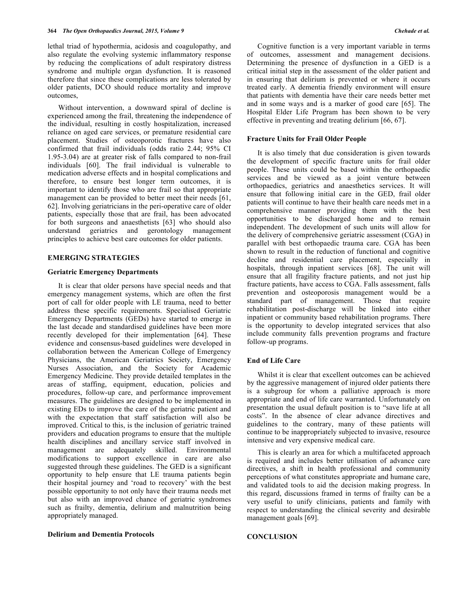lethal triad of hypothermia, acidosis and coagulopathy, and also regulate the evolving systemic inflammatory response by reducing the complications of adult respiratory distress syndrome and multiple organ dysfunction. It is reasoned therefore that since these complications are less tolerated by older patients, DCO should reduce mortality and improve outcomes,

Without intervention, a downward spiral of decline is experienced among the frail, threatening the independence of the individual, resulting in costly hospitalization, increased reliance on aged care services, or premature residential care placement. Studies of osteoporotic fractures have also confirmed that frail individuals (odds ratio 2.44; 95% CI 1.95-3.04) are at greater risk of falls compared to non-frail individuals [60]. The frail individual is vulnerable to medication adverse effects and in hospital complications and therefore, to ensure best longer term outcomes, it is important to identify those who are frail so that appropriate management can be provided to better meet their needs [61, 62]. Involving geriatricians in the peri-operative care of older patients, especially those that are frail, has been advocated for both surgeons and anaesthetists [63] who should also understand geriatrics and gerontology management principles to achieve best care outcomes for older patients.

#### **EMERGING STRATEGIES**

### **Geriatric Emergency Departments**

It is clear that older persons have special needs and that emergency management systems, which are often the first port of call for older people with LE trauma, need to better address these specific requirements. Specialised Geriatric Emergency Departments (GEDs) have started to emerge in the last decade and standardised guidelines have been more recently developed for their implementation [64]. These evidence and consensus-based guidelines were developed in collaboration between the American College of Emergency Physicians, the American Geriatrics Society, Emergency Nurses Association, and the Society for Academic Emergency Medicine. They provide detailed templates in the areas of staffing, equipment, education, policies and procedures, follow-up care, and performance improvement measures. The guidelines are designed to be implemented in existing EDs to improve the care of the geriatric patient and with the expectation that staff satisfaction will also be improved. Critical to this, is the inclusion of geriatric trained providers and education programs to ensure that the multiple health disciplines and ancillary service staff involved in management are adequately skilled. Environmental modifications to support excellence in care are also suggested through these guidelines. The GED is a significant opportunity to help ensure that LE trauma patients begin their hospital journey and 'road to recovery' with the best possible opportunity to not only have their trauma needs met but also with an improved chance of geriatric syndromes such as frailty, dementia, delirium and malnutrition being appropriately managed.

Cognitive function is a very important variable in terms of outcomes, assessment and management decisions. Determining the presence of dysfunction in a GED is a critical initial step in the assessment of the older patient and in ensuring that delirium is prevented or where it occurs treated early. A dementia friendly environment will ensure that patients with dementia have their care needs better met and in some ways and is a marker of good care [65]. The Hospital Elder Life Program has been shown to be very effective in preventing and treating delirium [66, 67].

#### **Fracture Units for Frail Older People**

It is also timely that due consideration is given towards the development of specific fracture units for frail older people. These units could be based within the orthopaedic services and be viewed as a joint venture between orthopaedics, geriatrics and anaesthetics services. It will ensure that following initial care in the GED, frail older patients will continue to have their health care needs met in a comprehensive manner providing them with the best opportunities to be discharged home and to remain independent. The development of such units will allow for the delivery of comprehensive geriatric assessment (CGA) in parallel with best orthopaedic trauma care. CGA has been shown to result in the reduction of functional and cognitive decline and residential care placement, especially in hospitals, through inpatient services [68]. The unit will ensure that all fragility fracture patients, and not just hip fracture patients, have access to CGA. Falls assessment, falls prevention and osteoporosis management would be a standard part of management. Those that require rehabilitation post-discharge will be linked into either inpatient or community based rehabilitation programs. There is the opportunity to develop integrated services that also include community falls prevention programs and fracture follow-up programs.

# **End of Life Care**

Whilst it is clear that excellent outcomes can be achieved by the aggressive management of injured older patients there is a subgroup for whom a palliative approach is more appropriate and end of life care warranted. Unfortunately on presentation the usual default position is to "save life at all costs". In the absence of clear advance directives and guidelines to the contrary, many of these patients will continue to be inappropriately subjected to invasive, resource intensive and very expensive medical care.

This is clearly an area for which a multifaceted approach is required and includes better utilisation of advance care directives, a shift in health professional and community perceptions of what constitutes appropriate and humane care, and validated tools to aid the decision making progress. In this regard, discussions framed in terms of frailty can be a very useful to unify clinicians, patients and family with respect to understanding the clinical severity and desirable management goals [69].

#### **CONCLUSION**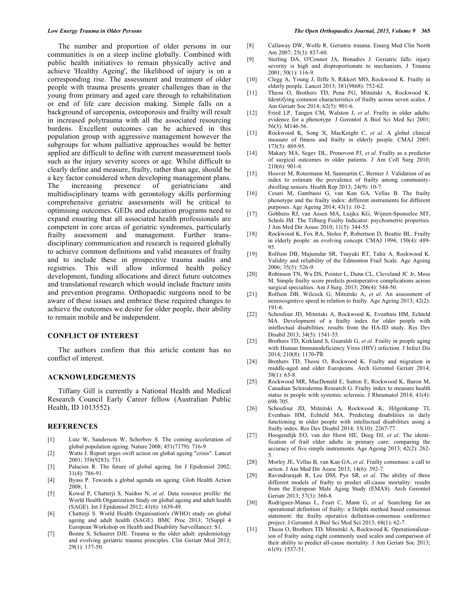The number and proportion of older persons in our communities is on a steep incline globally. Combined with public health initiatives to remain physically active and achieve 'Healthy Ageing', the likelihood of injury is on a corresponding rise. The assessment and treatment of older people with trauma presents greater challenges than in the young from primary and aged care through to rehabilitation or end of life care decision making. Simple falls on a background of sarcopenia, osteoporosis and frailty will result in increased polytrauma with all the associated resourcing burdens. Excellent outcomes can be achieved in this population group with aggressive management however the subgroups for whom palliative approaches would be better applied are difficult to define with current measurement tools such as the injury severity scores or age. Whilst difficult to clearly define and measure, frailty, rather than age, should be a key factor considered when developing management plans.<br>The increasing presence of geriatricians and increasing presence of geriatricians and multidisciplinary teams with gerontology skills performing comprehensive geriatric assessments will be critical to optimising outcomes. GEDs and education programs need to expand ensuring that all associated health professionals are competent in core areas of geriatric syndromes, particularly frailty assessment and management. Further transdisciplinary communication and research is required globally to achieve common definitions and valid measures of frailty and to include these in prospective trauma audits and registries. This will allow informed health policy development, funding allocations and direct future outcomes and translational research which would include fracture units and prevention programs. Orthopaedic surgeons need to be aware of these issues and embrace these required changes to achieve the outcomes we desire for older people, their ability to remain mobile and be independent.

#### **CONFLICT OF INTEREST**

The authors confirm that this article content has no conflict of interest.

# **ACKNOWLEDGEMENTS**

Tiffany Gill is currently a National Health and Medical Research Council Early Career fellow (Australian Public Health, ID 1013552).

#### **REFERENCES**

- [1] Lutz W, Sanderson W, Scherbov S. The coming acceleration of global population ageing. Nature 2008; 451(7179): 716-9.
- [2] Watts J. Report urges swift action on global ageing "crisis". Lancet 2001; 358(9283): 731.
- [3] Palacios R. The future of global ageing. Int J Epidemiol 2002; 31(4): 786-91.
- [4] Byass P. Towards a global agenda on ageing. Glob Health Action  $2008:1$
- [5] Kowal P, Chatterji S, Naidoo N, *et al*. Data resource profile: the World Health Organization Study on global ageing and adult health (SAGE). Int J Epidemiol 2012; 41(6): 1639-49.
- [6] Chatterji S. World Health Organisation's (WHO) study on global ageing and adult health (SAGE). BMC Proc 2013; 7(Suppl 4 European Workshop on Health and Disability Surveillance): S1.
- [7] Bonne S, Schuerer DJE. Trauma in the older adult: epidemiology and evolving geriatric trauma principles. Clin Geriatr Med 2013; 29(1): 137-50.
- [8] Callaway DW, Wolfe R. Geriatric trauma. Emerg Med Clin North Am 2007; 25(3): 837-60.
- [9] Sterling DA, O'Connor JA, Bonadies J. Geriatric falls: injury severity is high and disproportionate to mechanism. J Trauma  $2001$ ;  $50(1)$ : 116-9.
- [10] Clegg A, Young J, Iliffe S, Rikkert MO, Rockwood K. Frailty in elderly people. Lancet 2013; 381(9868): 752-62.
- [11] Theou O, Brothers TD, Pena FG, Mitnitski A, Rockwood K. Identifying common characteristics of frailty across seven scales. J Am Geriatr Soc 2014; 62(5): 901-6.
- [12] Fried LP, Tangen CM, Walston J, *et al*. Frailty in older adults: evidence for a phenotype. J Gerontol A Biol Sci Med Sci 2001; 56(3): M146-56.
- [13] Rockwood K, Song X, MacKnight C, *et al*. A global clinical measure of fitness and frailty in elderly people. CMAJ 2005; 173(5): 489-95.
- [14] Makary MA, Segev DL, Pronovost PJ, *et al*. Frailty as a predictor of surgical outcomes in older patients. J Am Coll Surg 2010;  $210(6)$ : 901-8
- [15] Hoover M, Rotermann M, Sanmartin C, Bernier J. Validation of an index to estimate the prevalence of frailty among communitydwelling seniors. Health Rep 2013; 24(9): 10-7.
- [16] Cesari M, Gambassi G, van Kan GA, Vellas B. The frailty phenotype and the frailty index: different instruments for different purposes. Age Ageing 2014; 43(1): 10-2.
- [17] Gobbens RJ, van Assen MA, Luijkx KG, Wijnen-Sponselee MT, Schols JM. The Tilburg Frailty Indicator: psychometric properties. J Am Med Dir Assoc 2010; 11(5): 344-55.
- [18] Rockwood K, Fox RA, Stolee P, Robertson D, Beattie BL. Frailty in elderly people: an evolving concept. CMAJ 1994; 150(4): 489- 95.
- [19] Rolfson DB, Majumdar SR, Tsuyuki RT, Tahir A, Rockwood K. Validity and reliability of the Edmonton Frail Scale. Age Ageing 2006; 35(5): 526-9.
- [20] Robinson TN, Wu DS, Pointer L, Dunn CL, Cleveland JC Jr, Moss M. Simple frailty score predicts postoperative complications across surgical specialties. Am J Surg. 2013; 206(4): 544-50.
- [21] Rolfson DB, Wilcock G, Mitnitski A, *et al*. An assessment of neurocognitive speed in relation to frailty. Age Ageing 2013; 42(2): 191-6.
- [22] Schoufour JD, Mitnitski A, Rockwood K, Evenhuis HM, Echteld MA. Development of a frailty index for older people with intellectual disabilities: results from the HA-ID study. Res Dev Disabil 2013; 34(5): 1541-55.
- [23] Brothers TD, Kirkland S, Guaraldi G, *et al*. Frailty in people aging with Human Immunodeficiency Virus (HIV) infection. J Infect Dis 2014; 210(8): 1170-79.
- [24] Brothers TD, Theou O, Rockwood K. Frailty and migration in middle-aged and older Europeans. Arch Gerontol Geriatr 2014; 58(1): 63-8.
- [25] Rockwood MR, MacDonald E, Sutton E, Rockwood K, Baron M, Canadian Scleroderma Research G. Frailty index to measure health status in people with systemic sclerosis. J Rheumatol 2014; 41(4): 698-705.
- [26] Schoufour JD, Mitnitski A, Rockwood K, Hilgenkamp TI, Evenhuis HM, Echteld MA. Predicting disabilities in daily functioning in older people with intellectual disabilities using a frailty index. Res Dev Disabil 2014; 35(10): 2267-77.
- [27] Hoogendijk EO, van der Horst HE, Deeg DJ, *et al*. The identification of frail older adults in primary care: comparing the accuracy of five simple instruments. Age Ageing 2013; 42(2): 262- 5.
- [28] Morley JE, Vellas B, van Kan GA, *et al*. Frailty consensus: a call to action. J Am Med Dir Assoc 2013; 14(6): 392-7.
- [29] Ravindrarajah R, Lee DM, Pye SR, *et al*. The ability of three different models of frailty to predict all-cause mortality: results from the European Male Aging Study (EMAS). Arch Gerontol Geriatr 2013; 57(3): 360-8.
- [30] Rodriguez-Manas L, Feart C, Mann G, *et al*. Searching for an operational definition of frailty: a Delphi method based consensus statement: the frailty operative definition-consensus conference project. J Gerontol A Biol Sci Med Sci 2013; 68(1): 62-7.
- [31] Theou O, Brothers TD, Mitnitski A, Rockwood K. Operationalization of frailty using eight commonly used scales and comparison of their ability to predict all-cause mortality. J Am Geriatr Soc 2013; 61(9): 1537-51.